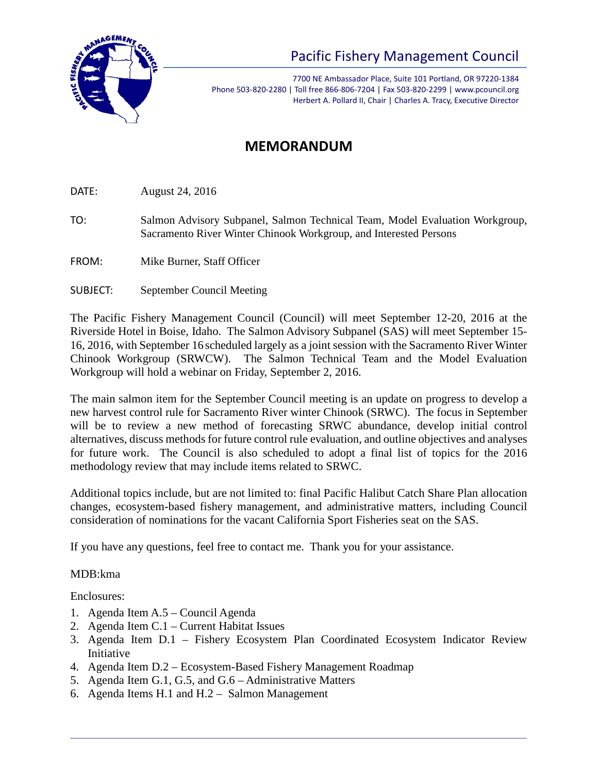

## Pacific Fishery Management Council

7700 NE Ambassador Place, Suite 101 Portland, OR 97220-1384 Phone 503-820-2280 | Toll free 866-806-7204 | Fax 503-820-2299 | www.pcouncil.org Herbert A. Pollard II, Chair | Charles A. Tracy, Executive Director

## **MEMORANDUM**

DATE: August 24, 2016

- TO: Salmon Advisory Subpanel, Salmon Technical Team, Model Evaluation Workgroup, Sacramento River Winter Chinook Workgroup, and Interested Persons
- FROM: Mike Burner, Staff Officer
- SUBJECT: September Council Meeting

The Pacific Fishery Management Council (Council) will meet September 12-20, 2016 at the Riverside Hotel in Boise, Idaho. The Salmon Advisory Subpanel (SAS) will meet September 15- 16, 2016, with September 16 scheduled largely as a joint session with the Sacramento River Winter Chinook Workgroup (SRWCW). The Salmon Technical Team and the Model Evaluation Workgroup will hold a webinar on Friday, September 2, 2016.

The main salmon item for the September Council meeting is an update on progress to develop a new harvest control rule for Sacramento River winter Chinook (SRWC). The focus in September will be to review a new method of forecasting SRWC abundance, develop initial control alternatives, discuss methods for future control rule evaluation, and outline objectives and analyses for future work. The Council is also scheduled to adopt a final list of topics for the 2016 methodology review that may include items related to SRWC.

Additional topics include, but are not limited to: final Pacific Halibut Catch Share Plan allocation changes, ecosystem-based fishery management, and administrative matters, including Council consideration of nominations for the vacant California Sport Fisheries seat on the SAS.

If you have any questions, feel free to contact me. Thank you for your assistance.

## MDB:kma

Enclosures:

- 1. Agenda Item A.5 Council Agenda
- 2. Agenda Item C.1 Current Habitat Issues
- 3. Agenda Item D.1 Fishery Ecosystem Plan Coordinated Ecosystem Indicator Review Initiative
- 4. Agenda Item D.2 Ecosystem-Based Fishery Management Roadmap
- 5. Agenda Item G.1, G.5, and G.6 Administrative Matters
- 6. Agenda Items H.1 and H.2 Salmon Management